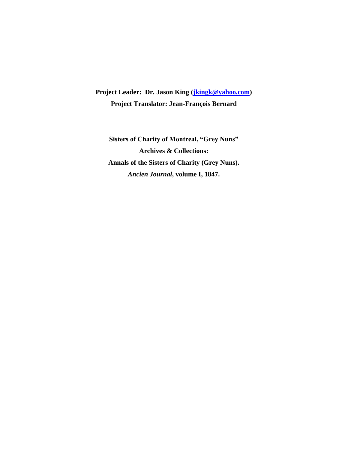**Project Leader: Dr. Jason King [\(jkingk@yahoo.com\)](mailto:jkingk@yahoo.com) Project Translator: Jean-François Bernard**

**Sisters of Charity of Montreal, "Grey Nuns" Archives & Collections: Annals of the Sisters of Charity (Grey Nuns).** *Ancien Journal***, volume I, 1847.**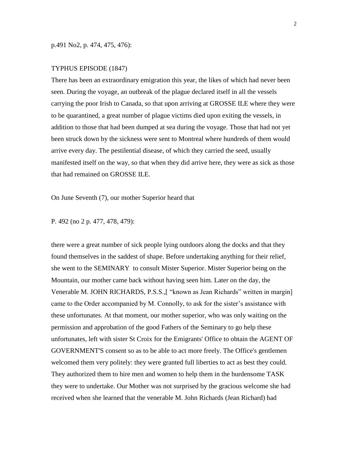## TYPHUS EPISODE (1847)

There has been an extraordinary emigration this year, the likes of which had never been seen. During the voyage, an outbreak of the plague declared itself in all the vessels carrying the poor Irish to Canada, so that upon arriving at GROSSE ILE where they were to be quarantined, a great number of plague victims died upon exiting the vessels, in addition to those that had been dumped at sea during the voyage. Those that had not yet been struck down by the sickness were sent to Montreal where hundreds of them would arrive every day. The pestilential disease, of which they carried the seed, usually manifested itself on the way, so that when they did arrive here, they were as sick as those that had remained on GROSSE ILE.

On June Seventh (7), our mother Superior heard that

P. 492 (no 2 p. 477, 478, 479):

there were a great number of sick people lying outdoors along the docks and that they found themselves in the saddest of shape. Before undertaking anything for their relief, she went to the SEMINARY to consult Mister Superior. Mister Superior being on the Mountain, our mother came back without having seen him. Later on the day, the Venerable M. JOHN RICHARDS, P.S.S.,[ "known as Jean Richards" written in margin] came to the Order accompanied by M. Connolly, to ask for the sister's assistance with these unfortunates. At that moment, our mother superior, who was only waiting on the permission and approbation of the good Fathers of the Seminary to go help these unfortunates, left with sister St Croix for the Emigrants' Office to obtain the AGENT OF GOVERNMENT'S consent so as to be able to act more freely. The Office's gentlemen welcomed them very politely: they were granted full liberties to act as best they could. They authorized them to hire men and women to help them in the burdensome TASK they were to undertake. Our Mother was not surprised by the gracious welcome she had received when she learned that the venerable M. John Richards (Jean Richard) had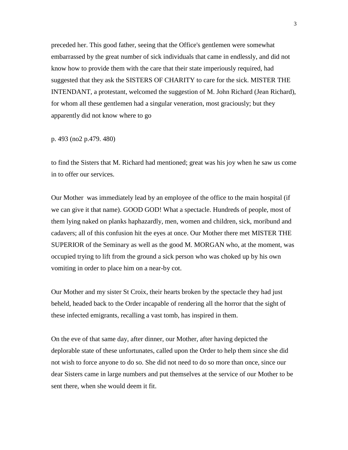preceded her. This good father, seeing that the Office's gentlemen were somewhat embarrassed by the great number of sick individuals that came in endlessly, and did not know how to provide them with the care that their state imperiously required, had suggested that they ask the SISTERS OF CHARITY to care for the sick. MISTER THE INTENDANT, a protestant, welcomed the suggestion of M. John Richard (Jean Richard), for whom all these gentlemen had a singular veneration, most graciously; but they apparently did not know where to go

p. 493 (no2 p.479. 480)

to find the Sisters that M. Richard had mentioned; great was his joy when he saw us come in to offer our services.

Our Mother was immediately lead by an employee of the office to the main hospital (if we can give it that name). GOOD GOD! What a spectacle. Hundreds of people, most of them lying naked on planks haphazardly, men, women and children, sick, moribund and cadavers; all of this confusion hit the eyes at once. Our Mother there met MISTER THE SUPERIOR of the Seminary as well as the good M. MORGAN who, at the moment, was occupied trying to lift from the ground a sick person who was choked up by his own vomiting in order to place him on a near-by cot.

Our Mother and my sister St Croix, their hearts broken by the spectacle they had just beheld, headed back to the Order incapable of rendering all the horror that the sight of these infected emigrants, recalling a vast tomb, has inspired in them.

On the eve of that same day, after dinner, our Mother, after having depicted the deplorable state of these unfortunates, called upon the Order to help them since she did not wish to force anyone to do so. She did not need to do so more than once, since our dear Sisters came in large numbers and put themselves at the service of our Mother to be sent there, when she would deem it fit.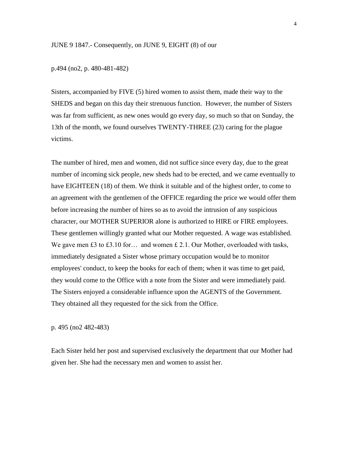## JUNE 9 1847.- Consequently, on JUNE 9, EIGHT (8) of our

p.494 (no2, p. 480-481-482)

Sisters, accompanied by FIVE (5) hired women to assist them, made their way to the SHEDS and began on this day their strenuous function. However, the number of Sisters was far from sufficient, as new ones would go every day, so much so that on Sunday, the 13th of the month, we found ourselves TWENTY-THREE (23) caring for the plague victims.

The number of hired, men and women, did not suffice since every day, due to the great number of incoming sick people, new sheds had to be erected, and we came eventually to have EIGHTEEN (18) of them. We think it suitable and of the highest order, to come to an agreement with the gentlemen of the OFFICE regarding the price we would offer them before increasing the number of hires so as to avoid the intrusion of any suspicious character, our MOTHER SUPERIOR alone is authorized to HIRE or FIRE employees. These gentlemen willingly granted what our Mother requested. A wage was established. We gave men £3 to £3.10 for... and women £ 2.1. Our Mother, overloaded with tasks, immediately designated a Sister whose primary occupation would be to monitor employees' conduct, to keep the books for each of them; when it was time to get paid, they would come to the Office with a note from the Sister and were immediately paid. The Sisters enjoyed a considerable influence upon the AGENTS of the Government. They obtained all they requested for the sick from the Office.

p. 495 (no2 482-483)

Each Sister held her post and supervised exclusively the department that our Mother had given her. She had the necessary men and women to assist her.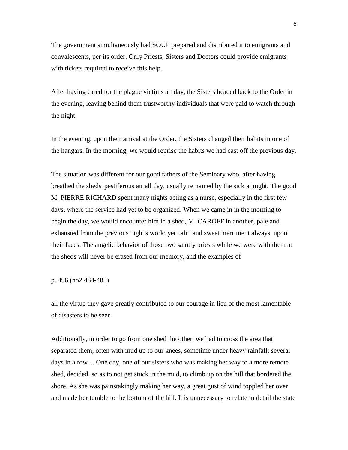The government simultaneously had SOUP prepared and distributed it to emigrants and convalescents, per its order. Only Priests, Sisters and Doctors could provide emigrants with tickets required to receive this help.

After having cared for the plague victims all day, the Sisters headed back to the Order in the evening, leaving behind them trustworthy individuals that were paid to watch through the night.

In the evening, upon their arrival at the Order, the Sisters changed their habits in one of the hangars. In the morning, we would reprise the habits we had cast off the previous day.

The situation was different for our good fathers of the Seminary who, after having breathed the sheds' pestiferous air all day, usually remained by the sick at night. The good M. PIERRE RICHARD spent many nights acting as a nurse, especially in the first few days, where the service had yet to be organized. When we came in in the morning to begin the day, we would encounter him in a shed, M. CAROFF in another, pale and exhausted from the previous night's work; yet calm and sweet merriment always upon their faces. The angelic behavior of those two saintly priests while we were with them at the sheds will never be erased from our memory, and the examples of

p. 496 (no2 484-485)

all the virtue they gave greatly contributed to our courage in lieu of the most lamentable of disasters to be seen.

Additionally, in order to go from one shed the other, we had to cross the area that separated them, often with mud up to our knees, sometime under heavy rainfall; several days in a row ... One day, one of our sisters who was making her way to a more remote shed, decided, so as to not get stuck in the mud, to climb up on the hill that bordered the shore. As she was painstakingly making her way, a great gust of wind toppled her over and made her tumble to the bottom of the hill. It is unnecessary to relate in detail the state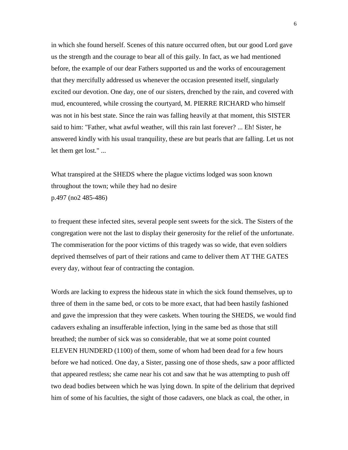in which she found herself. Scenes of this nature occurred often, but our good Lord gave us the strength and the courage to bear all of this gaily. In fact, as we had mentioned before, the example of our dear Fathers supported us and the works of encouragement that they mercifully addressed us whenever the occasion presented itself, singularly excited our devotion. One day, one of our sisters, drenched by the rain, and covered with mud, encountered, while crossing the courtyard, M. PIERRE RICHARD who himself was not in his best state. Since the rain was falling heavily at that moment, this SISTER said to him: "Father, what awful weather, will this rain last forever? ... Eh! Sister, he answered kindly with his usual tranquility, these are but pearls that are falling. Let us not let them get lost." ...

What transpired at the SHEDS where the plague victims lodged was soon known throughout the town; while they had no desire p.497 (no2 485-486)

to frequent these infected sites, several people sent sweets for the sick. The Sisters of the congregation were not the last to display their generosity for the relief of the unfortunate. The commiseration for the poor victims of this tragedy was so wide, that even soldiers deprived themselves of part of their rations and came to deliver them AT THE GATES every day, without fear of contracting the contagion.

Words are lacking to express the hideous state in which the sick found themselves, up to three of them in the same bed, or cots to be more exact, that had been hastily fashioned and gave the impression that they were caskets. When touring the SHEDS, we would find cadavers exhaling an insufferable infection, lying in the same bed as those that still breathed; the number of sick was so considerable, that we at some point counted ELEVEN HUNDERD (1100) of them, some of whom had been dead for a few hours before we had noticed. One day, a Sister, passing one of those sheds, saw a poor afflicted that appeared restless; she came near his cot and saw that he was attempting to push off two dead bodies between which he was lying down. In spite of the delirium that deprived him of some of his faculties, the sight of those cadavers, one black as coal, the other, in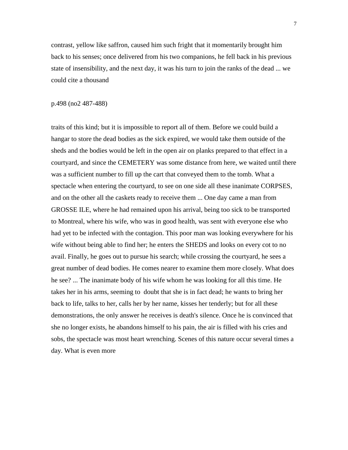contrast, yellow like saffron, caused him such fright that it momentarily brought him back to his senses; once delivered from his two companions, he fell back in his previous state of insensibility, and the next day, it was his turn to join the ranks of the dead ... we could cite a thousand

#### p.498 (no2 487-488)

traits of this kind; but it is impossible to report all of them. Before we could build a hangar to store the dead bodies as the sick expired, we would take them outside of the sheds and the bodies would be left in the open air on planks prepared to that effect in a courtyard, and since the CEMETERY was some distance from here, we waited until there was a sufficient number to fill up the cart that conveyed them to the tomb. What a spectacle when entering the courtyard, to see on one side all these inanimate CORPSES, and on the other all the caskets ready to receive them ... One day came a man from GROSSE ILE, where he had remained upon his arrival, being too sick to be transported to Montreal, where his wife, who was in good health, was sent with everyone else who had yet to be infected with the contagion. This poor man was looking everywhere for his wife without being able to find her; he enters the SHEDS and looks on every cot to no avail. Finally, he goes out to pursue his search; while crossing the courtyard, he sees a great number of dead bodies. He comes nearer to examine them more closely. What does he see? ... The inanimate body of his wife whom he was looking for all this time. He takes her in his arms, seeming to doubt that she is in fact dead; he wants to bring her back to life, talks to her, calls her by her name, kisses her tenderly; but for all these demonstrations, the only answer he receives is death's silence. Once he is convinced that she no longer exists, he abandons himself to his pain, the air is filled with his cries and sobs, the spectacle was most heart wrenching. Scenes of this nature occur several times a day. What is even more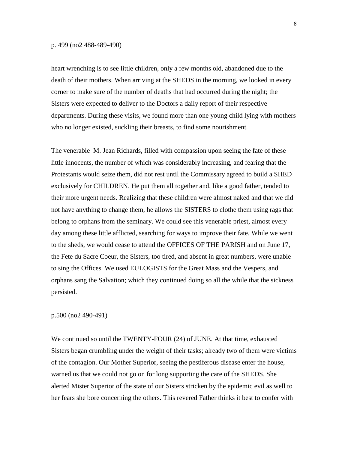#### p. 499 (no2 488-489-490)

heart wrenching is to see little children, only a few months old, abandoned due to the death of their mothers. When arriving at the SHEDS in the morning, we looked in every corner to make sure of the number of deaths that had occurred during the night; the Sisters were expected to deliver to the Doctors a daily report of their respective departments. During these visits, we found more than one young child lying with mothers who no longer existed, suckling their breasts, to find some nourishment.

The venerable M. Jean Richards, filled with compassion upon seeing the fate of these little innocents, the number of which was considerably increasing, and fearing that the Protestants would seize them, did not rest until the Commissary agreed to build a SHED exclusively for CHILDREN. He put them all together and, like a good father, tended to their more urgent needs. Realizing that these children were almost naked and that we did not have anything to change them, he allows the SISTERS to clothe them using rags that belong to orphans from the seminary. We could see this venerable priest, almost every day among these little afflicted, searching for ways to improve their fate. While we went to the sheds, we would cease to attend the OFFICES OF THE PARISH and on June 17, the Fete du Sacre Coeur, the Sisters, too tired, and absent in great numbers, were unable to sing the Offices. We used EULOGISTS for the Great Mass and the Vespers, and orphans sang the Salvation; which they continued doing so all the while that the sickness persisted.

### p.500 (no2 490-491)

We continued so until the TWENTY-FOUR (24) of JUNE. At that time, exhausted Sisters began crumbling under the weight of their tasks; already two of them were victims of the contagion. Our Mother Superior, seeing the pestiferous disease enter the house, warned us that we could not go on for long supporting the care of the SHEDS. She alerted Mister Superior of the state of our Sisters stricken by the epidemic evil as well to her fears she bore concerning the others. This revered Father thinks it best to confer with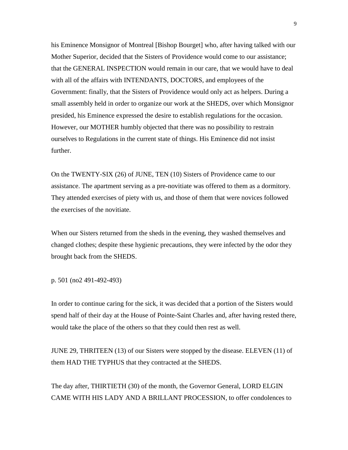his Eminence Monsignor of Montreal [Bishop Bourget] who, after having talked with our Mother Superior, decided that the Sisters of Providence would come to our assistance; that the GENERAL INSPECTION would remain in our care, that we would have to deal with all of the affairs with INTENDANTS, DOCTORS, and employees of the Government: finally, that the Sisters of Providence would only act as helpers. During a small assembly held in order to organize our work at the SHEDS, over which Monsignor presided, his Eminence expressed the desire to establish regulations for the occasion. However, our MOTHER humbly objected that there was no possibility to restrain ourselves to Regulations in the current state of things. His Eminence did not insist further.

On the TWENTY-SIX (26) of JUNE, TEN (10) Sisters of Providence came to our assistance. The apartment serving as a pre-novitiate was offered to them as a dormitory. They attended exercises of piety with us, and those of them that were novices followed the exercises of the novitiate.

When our Sisters returned from the sheds in the evening, they washed themselves and changed clothes; despite these hygienic precautions, they were infected by the odor they brought back from the SHEDS.

p. 501 (no2 491-492-493)

In order to continue caring for the sick, it was decided that a portion of the Sisters would spend half of their day at the House of Pointe-Saint Charles and, after having rested there, would take the place of the others so that they could then rest as well.

JUNE 29, THRITEEN (13) of our Sisters were stopped by the disease. ELEVEN (11) of them HAD THE TYPHUS that they contracted at the SHEDS.

The day after, THIRTIETH (30) of the month, the Governor General, LORD ELGIN CAME WITH HIS LADY AND A BRILLANT PROCESSION, to offer condolences to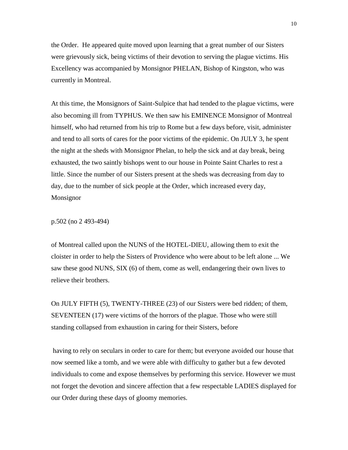the Order. He appeared quite moved upon learning that a great number of our Sisters were grievously sick, being victims of their devotion to serving the plague victims. His Excellency was accompanied by Monsignor PHELAN, Bishop of Kingston, who was currently in Montreal.

At this time, the Monsignors of Saint-Sulpice that had tended to the plague victims, were also becoming ill from TYPHUS. We then saw his EMINENCE Monsignor of Montreal himself, who had returned from his trip to Rome but a few days before, visit, administer and tend to all sorts of cares for the poor victims of the epidemic. On JULY 3, he spent the night at the sheds with Monsignor Phelan, to help the sick and at day break, being exhausted, the two saintly bishops went to our house in Pointe Saint Charles to rest a little. Since the number of our Sisters present at the sheds was decreasing from day to day, due to the number of sick people at the Order, which increased every day, Monsignor

p.502 (no 2 493-494)

of Montreal called upon the NUNS of the HOTEL-DIEU, allowing them to exit the cloister in order to help the Sisters of Providence who were about to be left alone ... We saw these good NUNS, SIX (6) of them, come as well, endangering their own lives to relieve their brothers.

On JULY FIFTH (5), TWENTY-THREE (23) of our Sisters were bed ridden; of them, SEVENTEEN (17) were victims of the horrors of the plague. Those who were still standing collapsed from exhaustion in caring for their Sisters, before

having to rely on seculars in order to care for them; but everyone avoided our house that now seemed like a tomb, and we were able with difficulty to gather but a few devoted individuals to come and expose themselves by performing this service. However we must not forget the devotion and sincere affection that a few respectable LADIES displayed for our Order during these days of gloomy memories.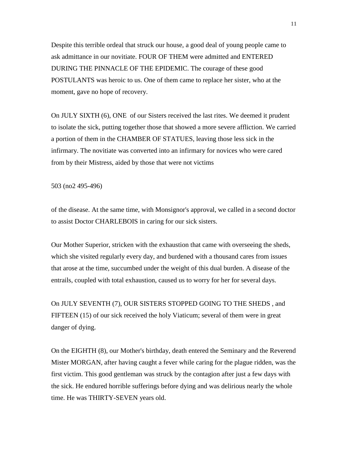Despite this terrible ordeal that struck our house, a good deal of young people came to ask admittance in our novitiate. FOUR OF THEM were admitted and ENTERED DURING THE PINNACLE OF THE EPIDEMIC. The courage of these good POSTULANTS was heroic to us. One of them came to replace her sister, who at the moment, gave no hope of recovery.

On JULY SIXTH (6), ONE of our Sisters received the last rites. We deemed it prudent to isolate the sick, putting together those that showed a more severe affliction. We carried a portion of them in the CHAMBER OF STATUES, leaving those less sick in the infirmary. The novitiate was converted into an infirmary for novices who were cared from by their Mistress, aided by those that were not victims

503 (no2 495-496)

of the disease. At the same time, with Monsignor's approval, we called in a second doctor to assist Doctor CHARLEBOIS in caring for our sick sisters.

Our Mother Superior, stricken with the exhaustion that came with overseeing the sheds, which she visited regularly every day, and burdened with a thousand cares from issues that arose at the time, succumbed under the weight of this dual burden. A disease of the entrails, coupled with total exhaustion, caused us to worry for her for several days.

On JULY SEVENTH (7), OUR SISTERS STOPPED GOING TO THE SHEDS , and FIFTEEN (15) of our sick received the holy Viaticum; several of them were in great danger of dying.

On the EIGHTH (8), our Mother's birthday, death entered the Seminary and the Reverend Mister MORGAN, after having caught a fever while caring for the plague ridden, was the first victim. This good gentleman was struck by the contagion after just a few days with the sick. He endured horrible sufferings before dying and was delirious nearly the whole time. He was THIRTY-SEVEN years old.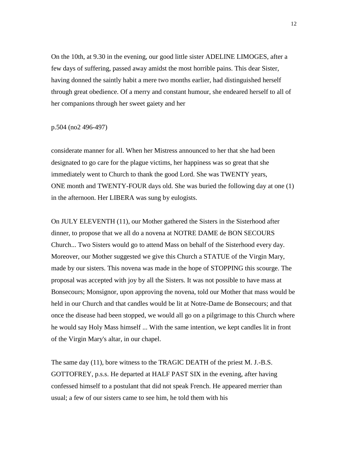On the 10th, at 9.30 in the evening, our good little sister ADELINE LIMOGES, after a few days of suffering, passed away amidst the most horrible pains. This dear Sister, having donned the saintly habit a mere two months earlier, had distinguished herself through great obedience. Of a merry and constant humour, she endeared herself to all of her companions through her sweet gaiety and her

## p.504 (no2 496-497)

considerate manner for all. When her Mistress announced to her that she had been designated to go care for the plague victims, her happiness was so great that she immediately went to Church to thank the good Lord. She was TWENTY years, ONE month and TWENTY-FOUR days old. She was buried the following day at one (1) in the afternoon. Her LIBERA was sung by eulogists.

On JULY ELEVENTH (11), our Mother gathered the Sisters in the Sisterhood after dinner, to propose that we all do a novena at NOTRE DAME de BON SECOURS Church... Two Sisters would go to attend Mass on behalf of the Sisterhood every day. Moreover, our Mother suggested we give this Church a STATUE of the Virgin Mary, made by our sisters. This novena was made in the hope of STOPPING this scourge. The proposal was accepted with joy by all the Sisters. It was not possible to have mass at Bonsecours; Monsignor, upon approving the novena, told our Mother that mass would be held in our Church and that candles would be lit at Notre-Dame de Bonsecours; and that once the disease had been stopped, we would all go on a pilgrimage to this Church where he would say Holy Mass himself ... With the same intention, we kept candles lit in front of the Virgin Mary's altar, in our chapel.

The same day (11), bore witness to the TRAGIC DEATH of the priest M. J.-B.S. GOTTOFREY, p.s.s. He departed at HALF PAST SIX in the evening, after having confessed himself to a postulant that did not speak French. He appeared merrier than usual; a few of our sisters came to see him, he told them with his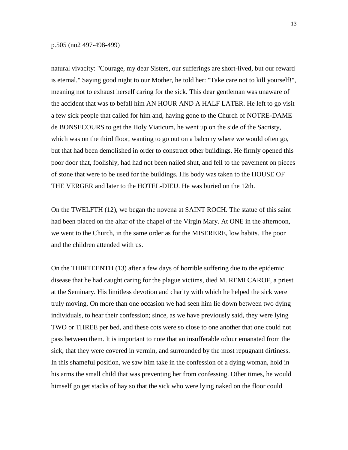natural vivacity: "Courage, my dear Sisters, our sufferings are short-lived, but our reward is eternal." Saying good night to our Mother, he told her: "Take care not to kill yourself!", meaning not to exhaust herself caring for the sick. This dear gentleman was unaware of the accident that was to befall him AN HOUR AND A HALF LATER. He left to go visit a few sick people that called for him and, having gone to the Church of NOTRE-DAME de BONSECOURS to get the Holy Viaticum, he went up on the side of the Sacristy, which was on the third floor, wanting to go out on a balcony where we would often go, but that had been demolished in order to construct other buildings. He firmly opened this poor door that, foolishly, had had not been nailed shut, and fell to the pavement on pieces of stone that were to be used for the buildings. His body was taken to the HOUSE OF THE VERGER and later to the HOTEL-DIEU. He was buried on the 12th.

On the TWELFTH (12), we began the novena at SAINT ROCH. The statue of this saint had been placed on the altar of the chapel of the Virgin Mary. At ONE in the afternoon, we went to the Church, in the same order as for the MISERERE, low habits. The poor and the children attended with us.

On the THIRTEENTH (13) after a few days of horrible suffering due to the epidemic disease that he had caught caring for the plague victims, died M. REMI CAROF, a priest at the Seminary. His limitless devotion and charity with which he helped the sick were truly moving. On more than one occasion we had seen him lie down between two dying individuals, to hear their confession; since, as we have previously said, they were lying TWO or THREE per bed, and these cots were so close to one another that one could not pass between them. It is important to note that an insufferable odour emanated from the sick, that they were covered in vermin, and surrounded by the most repugnant dirtiness. In this shameful position, we saw him take in the confession of a dying woman, hold in his arms the small child that was preventing her from confessing. Other times, he would himself go get stacks of hay so that the sick who were lying naked on the floor could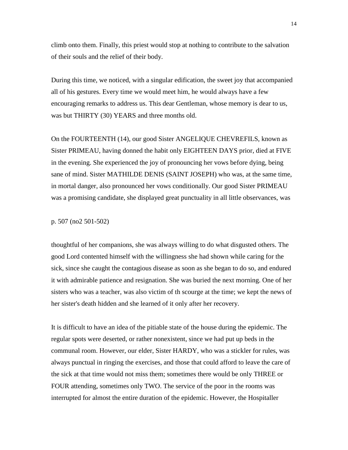climb onto them. Finally, this priest would stop at nothing to contribute to the salvation of their souls and the relief of their body.

During this time, we noticed, with a singular edification, the sweet joy that accompanied all of his gestures. Every time we would meet him, he would always have a few encouraging remarks to address us. This dear Gentleman, whose memory is dear to us, was but THIRTY (30) YEARS and three months old.

On the FOURTEENTH (14), our good Sister ANGELIQUE CHEVREFILS, known as Sister PRIMEAU, having donned the habit only EIGHTEEN DAYS prior, died at FIVE in the evening. She experienced the joy of pronouncing her vows before dying, being sane of mind. Sister MATHILDE DENIS (SAINT JOSEPH) who was, at the same time, in mortal danger, also pronounced her vows conditionally. Our good Sister PRIMEAU was a promising candidate, she displayed great punctuality in all little observances, was

p. 507 (no2 501-502)

thoughtful of her companions, she was always willing to do what disgusted others. The good Lord contented himself with the willingness she had shown while caring for the sick, since she caught the contagious disease as soon as she began to do so, and endured it with admirable patience and resignation. She was buried the next morning. One of her sisters who was a teacher, was also victim of th scourge at the time; we kept the news of her sister's death hidden and she learned of it only after her recovery.

It is difficult to have an idea of the pitiable state of the house during the epidemic. The regular spots were deserted, or rather nonexistent, since we had put up beds in the communal room. However, our elder, Sister HARDY, who was a stickler for rules, was always punctual in ringing the exercises, and those that could afford to leave the care of the sick at that time would not miss them; sometimes there would be only THREE or FOUR attending, sometimes only TWO. The service of the poor in the rooms was interrupted for almost the entire duration of the epidemic. However, the Hospitaller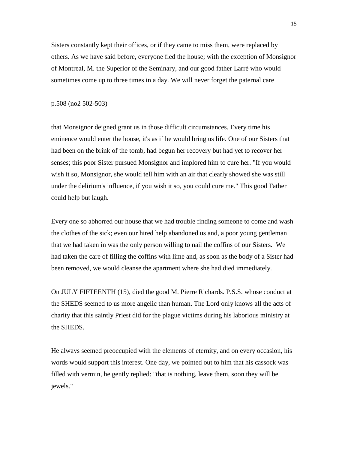Sisters constantly kept their offices, or if they came to miss them, were replaced by others. As we have said before, everyone fled the house; with the exception of Monsignor of Montreal, M. the Superior of the Seminary, and our good father Larré who would sometimes come up to three times in a day. We will never forget the paternal care

### p.508 (no2 502-503)

that Monsignor deigned grant us in those difficult circumstances. Every time his eminence would enter the house, it's as if he would bring us life. One of our Sisters that had been on the brink of the tomb, had begun her recovery but had yet to recover her senses; this poor Sister pursued Monsignor and implored him to cure her. "If you would wish it so, Monsignor, she would tell him with an air that clearly showed she was still under the delirium's influence, if you wish it so, you could cure me." This good Father could help but laugh.

Every one so abhorred our house that we had trouble finding someone to come and wash the clothes of the sick; even our hired help abandoned us and, a poor young gentleman that we had taken in was the only person willing to nail the coffins of our Sisters. We had taken the care of filling the coffins with lime and, as soon as the body of a Sister had been removed, we would cleanse the apartment where she had died immediately.

On JULY FIFTEENTH (15), died the good M. Pierre Richards. P.S.S. whose conduct at the SHEDS seemed to us more angelic than human. The Lord only knows all the acts of charity that this saintly Priest did for the plague victims during his laborious ministry at the SHEDS.

He always seemed preoccupied with the elements of eternity, and on every occasion, his words would support this interest. One day, we pointed out to him that his cassock was filled with vermin, he gently replied: "that is nothing, leave them, soon they will be jewels."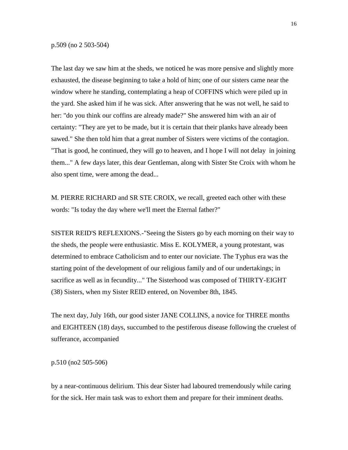The last day we saw him at the sheds, we noticed he was more pensive and slightly more exhausted, the disease beginning to take a hold of him; one of our sisters came near the window where he standing, contemplating a heap of COFFINS which were piled up in the yard. She asked him if he was sick. After answering that he was not well, he said to her: "do you think our coffins are already made?" She answered him with an air of certainty: "They are yet to be made, but it is certain that their planks have already been sawed." She then told him that a great number of Sisters were victims of the contagion. "That is good, he continued, they will go to heaven, and I hope I will not delay in joining them..." A few days later, this dear Gentleman, along with Sister Ste Croix with whom he also spent time, were among the dead...

M. PIERRE RICHARD and SR STE CROIX, we recall, greeted each other with these words: "Is today the day where we'll meet the Eternal father?"

SISTER REID'S REFLEXIONS.-"Seeing the Sisters go by each morning on their way to the sheds, the people were enthusiastic. Miss E. KOLYMER, a young protestant, was determined to embrace Catholicism and to enter our noviciate. The Typhus era was the starting point of the development of our religious family and of our undertakings; in sacrifice as well as in fecundity..." The Sisterhood was composed of THIRTY-EIGHT (38) Sisters, when my Sister REID entered, on November 8th, 1845.

The next day, July 16th, our good sister JANE COLLINS, a novice for THREE months and EIGHTEEN (18) days, succumbed to the pestiferous disease following the cruelest of sufferance, accompanied

p.510 (no2 505-506)

by a near-continuous delirium. This dear Sister had laboured tremendously while caring for the sick. Her main task was to exhort them and prepare for their imminent deaths.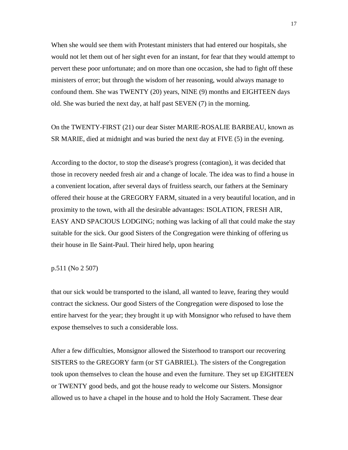When she would see them with Protestant ministers that had entered our hospitals, she would not let them out of her sight even for an instant, for fear that they would attempt to pervert these poor unfortunate; and on more than one occasion, she had to fight off these ministers of error; but through the wisdom of her reasoning, would always manage to confound them. She was TWENTY (20) years, NINE (9) months and EIGHTEEN days old. She was buried the next day, at half past SEVEN (7) in the morning.

On the TWENTY-FIRST (21) our dear Sister MARIE-ROSALIE BARBEAU, known as SR MARIE, died at midnight and was buried the next day at FIVE (5) in the evening.

According to the doctor, to stop the disease's progress (contagion), it was decided that those in recovery needed fresh air and a change of locale. The idea was to find a house in a convenient location, after several days of fruitless search, our fathers at the Seminary offered their house at the GREGORY FARM, situated in a very beautiful location, and in proximity to the town, with all the desirable advantages: ISOLATION, FRESH AIR, EASY AND SPACIOUS LODGING; nothing was lacking of all that could make the stay suitable for the sick. Our good Sisters of the Congregation were thinking of offering us their house in Ile Saint-Paul. Their hired help, upon hearing

# p.511 (No 2 507)

that our sick would be transported to the island, all wanted to leave, fearing they would contract the sickness. Our good Sisters of the Congregation were disposed to lose the entire harvest for the year; they brought it up with Monsignor who refused to have them expose themselves to such a considerable loss.

After a few difficulties, Monsignor allowed the Sisterhood to transport our recovering SISTERS to the GREGORY farm (or ST GABRIEL). The sisters of the Congregation took upon themselves to clean the house and even the furniture. They set up EIGHTEEN or TWENTY good beds, and got the house ready to welcome our Sisters. Monsignor allowed us to have a chapel in the house and to hold the Holy Sacrament. These dear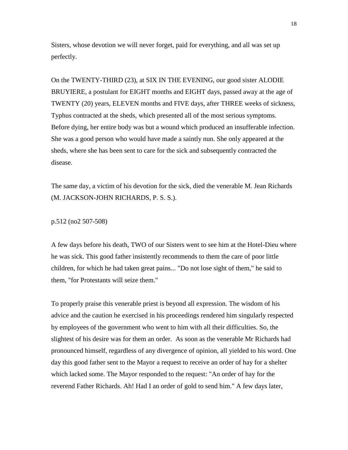Sisters, whose devotion we will never forget, paid for everything, and all was set up perfectly.

On the TWENTY-THIRD (23), at SIX IN THE EVENING, our good sister ALODIE BRUYIERE, a postulant for EIGHT months and EIGHT days, passed away at the age of TWENTY (20) years, ELEVEN months and FIVE days, after THREE weeks of sickness, Typhus contracted at the sheds, which presented all of the most serious symptoms. Before dying, her entire body was but a wound which produced an insufferable infection. She was a good person who would have made a saintly nun. She only appeared at the sheds, where she has been sent to care for the sick and subsequently contracted the disease.

The same day, a victim of his devotion for the sick, died the venerable M. Jean Richards (M. JACKSON-JOHN RICHARDS, P. S. S.).

p.512 (no2 507-508)

A few days before his death, TWO of our Sisters went to see him at the Hotel-Dieu where he was sick. This good father insistently recommends to them the care of poor little children, for which he had taken great pains... "Do not lose sight of them," he said to them, "for Protestants will seize them."

To properly praise this venerable priest is beyond all expression. The wisdom of his advice and the caution he exercised in his proceedings rendered him singularly respected by employees of the government who went to him with all their difficulties. So, the slightest of his desire was for them an order. As soon as the venerable Mr Richards had pronounced himself, regardless of any divergence of opinion, all yielded to his word. One day this good father sent to the Mayor a request to receive an order of hay for a shelter which lacked some. The Mayor responded to the request: "An order of hay for the reverend Father Richards. Ah! Had I an order of gold to send him." A few days later,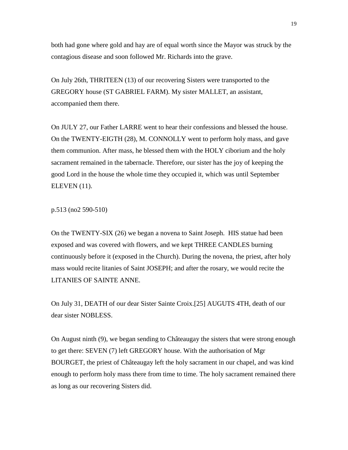both had gone where gold and hay are of equal worth since the Mayor was struck by the contagious disease and soon followed Mr. Richards into the grave.

On July 26th, THRITEEN (13) of our recovering Sisters were transported to the GREGORY house (ST GABRIEL FARM). My sister MALLET, an assistant, accompanied them there.

On JULY 27, our Father LARRE went to hear their confessions and blessed the house. On the TWENTY-EIGTH (28), M. CONNOLLY went to perform holy mass, and gave them communion. After mass, he blessed them with the HOLY ciborium and the holy sacrament remained in the tabernacle. Therefore, our sister has the joy of keeping the good Lord in the house the whole time they occupied it, which was until September ELEVEN (11).

p.513 (no2 590-510)

On the TWENTY-SIX (26) we began a novena to Saint Joseph. HIS statue had been exposed and was covered with flowers, and we kept THREE CANDLES burning continuously before it (exposed in the Church). During the novena, the priest, after holy mass would recite litanies of Saint JOSEPH; and after the rosary, we would recite the LITANIES OF SAINTE ANNE.

On July 31, DEATH of our dear Sister Sainte Croix.[25] AUGUTS 4TH, death of our dear sister NOBLESS.

On August ninth (9), we began sending to Châteaugay the sisters that were strong enough to get there: SEVEN (7) left GREGORY house. With the authorisation of Mgr BOURGET, the priest of Châteaugay left the holy sacrament in our chapel, and was kind enough to perform holy mass there from time to time. The holy sacrament remained there as long as our recovering Sisters did.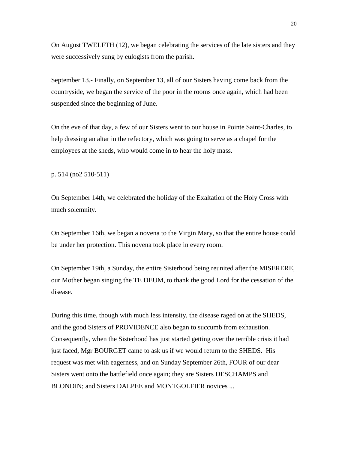On August TWELFTH (12), we began celebrating the services of the late sisters and they were successively sung by eulogists from the parish.

September 13.- Finally, on September 13, all of our Sisters having come back from the countryside, we began the service of the poor in the rooms once again, which had been suspended since the beginning of June.

On the eve of that day, a few of our Sisters went to our house in Pointe Saint-Charles, to help dressing an altar in the refectory, which was going to serve as a chapel for the employees at the sheds, who would come in to hear the holy mass.

p. 514 (no2 510-511)

On September 14th, we celebrated the holiday of the Exaltation of the Holy Cross with much solemnity.

On September 16th, we began a novena to the Virgin Mary, so that the entire house could be under her protection. This novena took place in every room.

On September 19th, a Sunday, the entire Sisterhood being reunited after the MISERERE, our Mother began singing the TE DEUM, to thank the good Lord for the cessation of the disease.

During this time, though with much less intensity, the disease raged on at the SHEDS, and the good Sisters of PROVIDENCE also began to succumb from exhaustion. Consequently, when the Sisterhood has just started getting over the terrible crisis it had just faced, Mgr BOURGET came to ask us if we would return to the SHEDS. His request was met with eagerness, and on Sunday September 26th, FOUR of our dear Sisters went onto the battlefield once again; they are Sisters DESCHAMPS and BLONDIN; and Sisters DALPEE and MONTGOLFIER novices ...